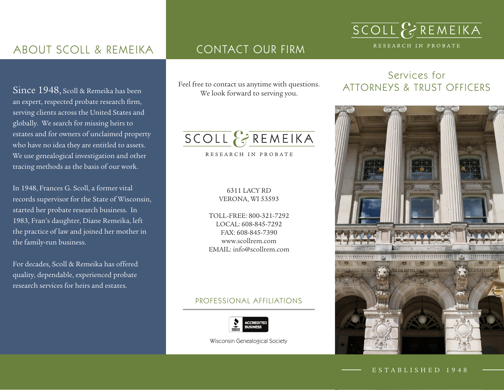## ABOUT SCOLL & REMEIKA

Since 1948, Scoll & Remeika has been an expert, respected probate research firm, serving clients across the United States and globally. We search for missing heirs to estates and for owners of unclaimed property who have no idea they are entitled to assets. We use genealogical investigation and other tracing methods as the basis of our work.

In 1948, Frances G. Scoll, a former vital records supervisor for the State of Wisconsin, started her probate research business. In 1983, Fran's daughter, Diane Remeika, left the practice of law and joined her mother in the family-run business.

For decades, Scoll & Remeika has offered quality, dependable, experienced probate research services for heirs and estates.

### CONTACT OUR FIRM

We look forward to serving you.

## SCOLL & REMEIKA

RESEARCH IN PROBATE

#### 6311 LACY RD VERONA, WI 53593

TOLL-FREE: 800-321-7292 LOCAL: 608-845-7292 FAX: 608-845-7390 www.scollrem.com EMAIL: info@scollrem.com

#### PROFESSIONAL AFFILIATIONS



Wisconsin Genealogical Society

#### Services for Feel free to contact us anytime with questions. ATTORNEYS & TRUST OFFICERS

SCOLL & REMEIKA

RESEARCH IN PROBATE